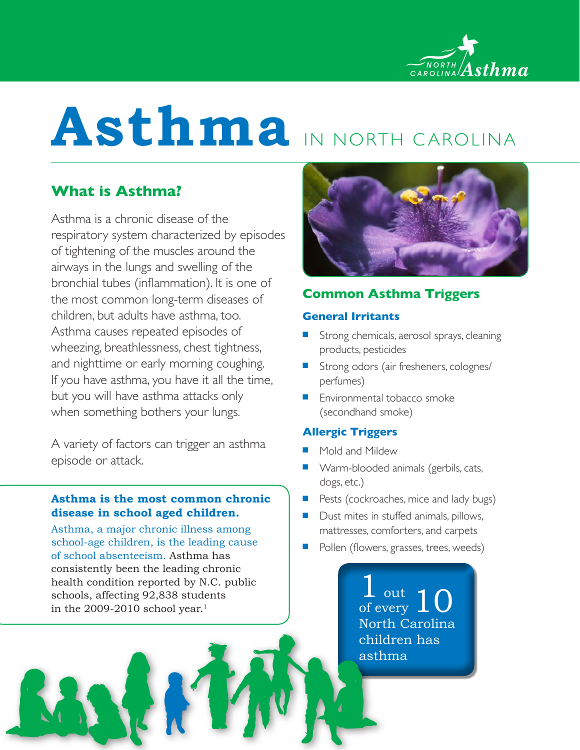

# **Asthma** IN NORTH CAROLINA

# **What is Asthma?**

Asthma is a chronic disease of the respiratory system characterized by episodes of tightening of the muscles around the airways in the lungs and swelling of the bronchial tubes (inflammation). It is one of the most common long-term diseases of children, but adults have asthma, too. Asthma causes repeated episodes of wheezing, breathlessness, chest tightness, and nighttime or early morning coughing. If you have asthma, you have it all the time, but you will have asthma attacks only when something bothers your lungs.

A variety of factors can trigger an asthma episode or attack.

## **Asthma is the most common chronic disease in school aged children.**

Asthma, a major chronic illness among school-age children, is the leading cause of school absenteeism. Asthma has consistently been the leading chronic health condition reported by N.C. public schools, affecting 92,838 students in the 2009-2010 school year.<sup>1</sup>



# **Common Asthma Triggers**

## **General Irritants**

- Strong chemicals, aerosol sprays, cleaning products, pesticides
- Strong odors (air fresheners, colognes/ perfumes)
- $\blacksquare$  Environmental tobacco smoke (secondhand smoke)

## **Allergic Triggers**

- Mold and Mildew
- **Nam-blooded animals (gerbils, cats,** dogs, etc.)
- $\blacksquare$  Pests (cockroaches, mice and lady bugs)
- $\blacksquare$  Dust mites in stuffed animals, pillows, mattresses, comforters, and carpets
- Pollen (flowers, grasses, trees, weeds)

*l* out of every North Carolina children has asthma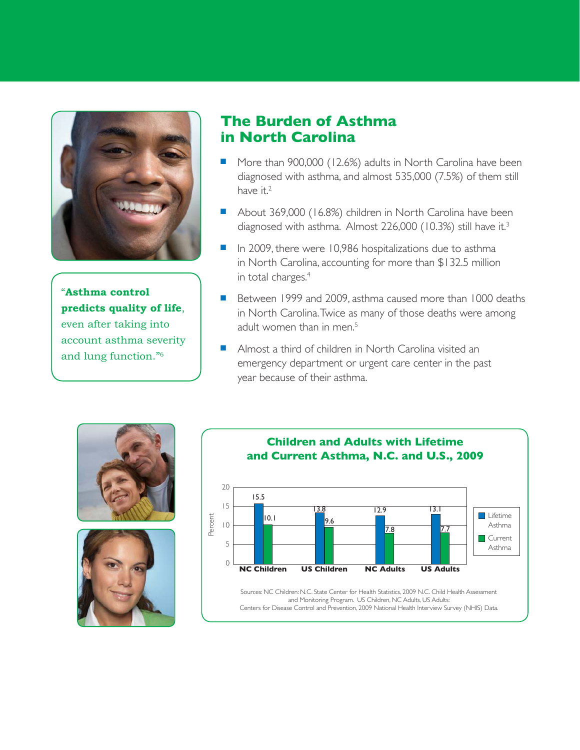

"**Asthma control predicts quality of life**, even after taking into account asthma severity and lung function."6

# **The Burden of Asthma in North Carolina**

- More than 900,000 (12.6%) adults in North Carolina have been diagnosed with asthma, and almost 535,000 (7.5%) of them still have it.<sup>2</sup>
- About 369,000 (16.8%) children in North Carolina have been diagnosed with asthma. Almost 226,000 (10.3%) still have it.<sup>3</sup>
- $\blacksquare$  In 2009, there were 10,986 hospitalizations due to asthma in North Carolina, accounting for more than \$132.5 million in total charges.<sup>4</sup>
- Between 1999 and 2009, asthma caused more than 1000 deaths in North Carolina. Twice as many of those deaths were among adult women than in men.<sup>5</sup>
- <sup>n</sup> Almost a third of children in North Carolina visited an emergency department or urgent care center in the past year because of their asthma.





#### **Children and Adults with Lifetime and Current Asthma, N.C. and U.S., 2009** 20 15 10 5  $\overline{O}$ Percent **NC Children US Children NC Adults US Adults Lifetime** Asthma **Current** Asthma 15.5 13.8 9.6 12.9 7.8 13.1 7.7 10.1

Sources: NC Children: N.C. State Center for Health Statistics, 2009 N.C. Child Health Assessment and Monitoring Program. US Children, NC Adults, US Adults: Centers for Disease Control and Prevention, 2009 National Health Interview Survey (NHIS) Data.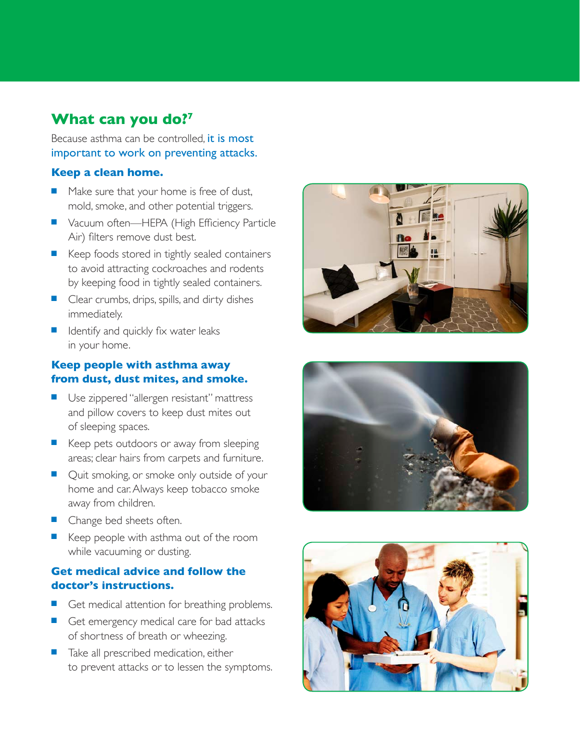# **What can you do?7**

Because asthma can be controlled, it is most important to work on preventing attacks.

### **Keep a clean home.**

- Make sure that your home is free of dust, mold, smoke, and other potential triggers.
- Vacuum often—HEPA (High Efficiency Particle Air) filters remove dust best.
- $\blacksquare$  Keep foods stored in tightly sealed containers to avoid attracting cockroaches and rodents by keeping food in tightly sealed containers.
- $\blacksquare$  Clear crumbs, drips, spills, and dirty dishes immediately.
- $\blacksquare$  Identify and quickly fix water leaks in your home.

## **Keep people with asthma away from dust, dust mites, and smoke.**

- Use zippered "allergen resistant" mattress and pillow covers to keep dust mites out of sleeping spaces.
- E Keep pets outdoors or away from sleeping areas; clear hairs from carpets and furniture.
- Quit smoking, or smoke only outside of your home and car. Always keep tobacco smoke away from children.
- **n** Change bed sheets often.
- Keep people with asthma out of the room while vacuuming or dusting.

## **Get medical advice and follow the doctor's instructions.**

- Get medical attention for breathing problems.
- Get emergency medical care for bad attacks of shortness of breath or wheezing.
- Take all prescribed medication, either to prevent attacks or to lessen the symptoms.